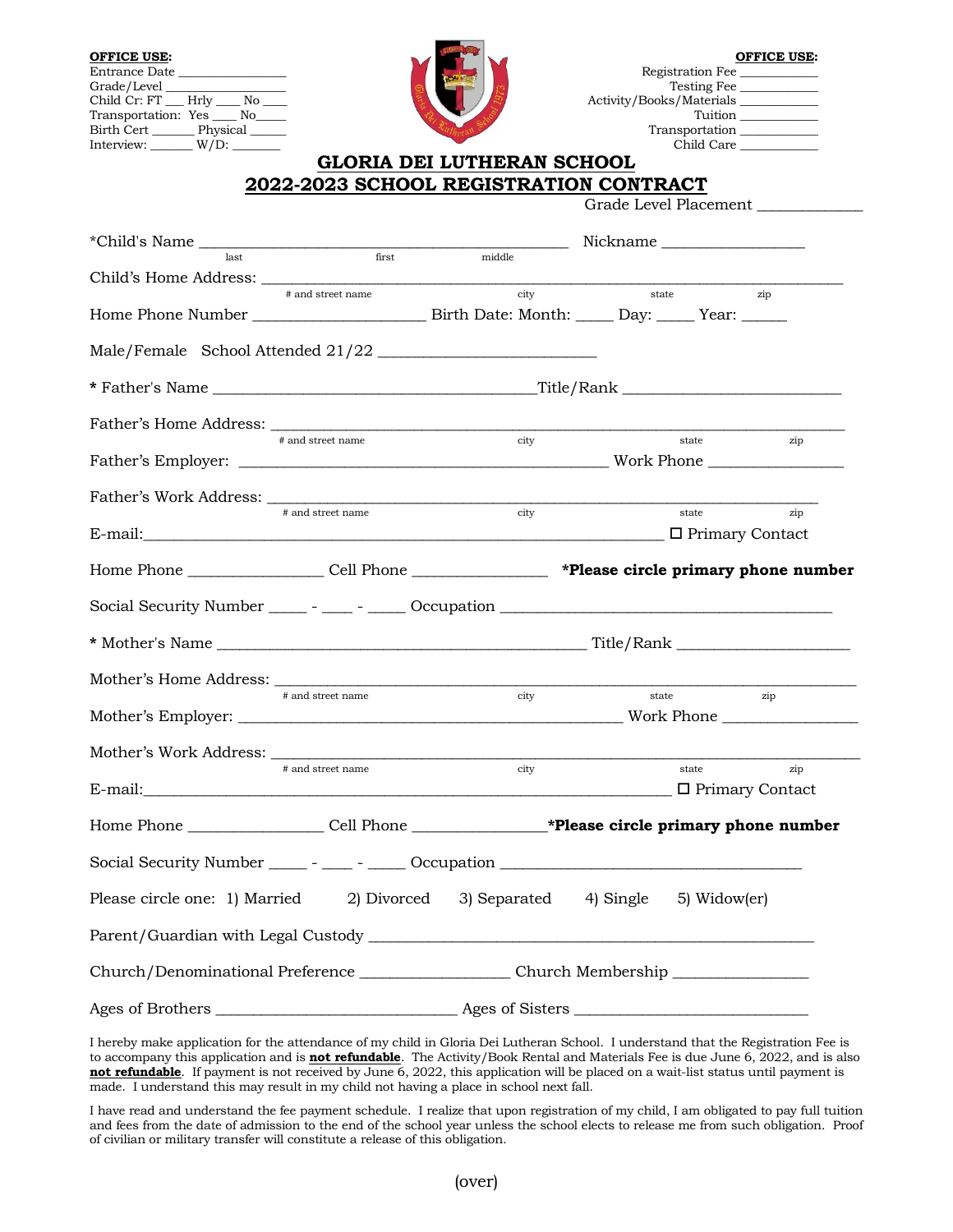

| <b>OFFICE USE:</b>                  |                            | <b>OFFICE USE:</b>       |
|-------------------------------------|----------------------------|--------------------------|
| Entrance Date                       |                            | Registration Fee         |
| Grade/Level                         |                            | Testing Fee              |
| Child Cr: FT        Hrly         No |                            | Activity/Books/Materials |
| Transportation: Yes No              |                            | Tuition                  |
| Birth Cert<br>Physical              |                            | Transportation           |
| Interview:<br>$W/D$ :               |                            | Child Care               |
|                                     | GLORIA DEI LUTHERAN SCHOOL |                          |

## **GLORIA DEI LUTHERAN SCHO 2022-2023 SCHOOL REGISTRATION CONTRACT**

Grade Level Placement

| *Child's Name                                                                                        |                   | Nickname <b>Nickname</b> |                                                                                               |                                   |  |
|------------------------------------------------------------------------------------------------------|-------------------|--------------------------|-----------------------------------------------------------------------------------------------|-----------------------------------|--|
| last                                                                                                 | first             | middle                   |                                                                                               |                                   |  |
|                                                                                                      | # and street name | city                     | state                                                                                         | zip                               |  |
|                                                                                                      |                   |                          |                                                                                               |                                   |  |
| Male/Female School Attended 21/22                                                                    |                   |                          |                                                                                               |                                   |  |
|                                                                                                      |                   |                          |                                                                                               |                                   |  |
|                                                                                                      |                   |                          |                                                                                               |                                   |  |
|                                                                                                      | # and street name | city                     |                                                                                               | state<br>zip                      |  |
|                                                                                                      | # and street name |                          |                                                                                               |                                   |  |
|                                                                                                      |                   | city                     |                                                                                               | state<br>zip                      |  |
| Home Phone __________________Cell Phone __________________ *Please circle primary phone number       |                   |                          |                                                                                               |                                   |  |
|                                                                                                      |                   |                          |                                                                                               |                                   |  |
|                                                                                                      |                   |                          |                                                                                               |                                   |  |
|                                                                                                      |                   |                          |                                                                                               |                                   |  |
|                                                                                                      | # and street name | city                     | state<br>zip                                                                                  |                                   |  |
|                                                                                                      |                   |                          |                                                                                               |                                   |  |
| E-mail:                                                                                              | # and street name | city                     |                                                                                               | state<br>zip<br>D Primary Contact |  |
|                                                                                                      |                   |                          | Home Phone _________________Cell Phone ___________________*Please circle primary phone number |                                   |  |
| Social Security Number _____ - ____ - ____ Occupation __________________________                     |                   |                          |                                                                                               |                                   |  |
| Please circle one: 1) Married 2) Divorced 3) Separated 4) Single 5) Widow(er)                        |                   |                          |                                                                                               |                                   |  |
|                                                                                                      |                   |                          |                                                                                               |                                   |  |
| Church/Denominational Preference ________________________Church Membership _________________________ |                   |                          |                                                                                               |                                   |  |
| Ages of Brothers                                                                                     |                   | Ages of Sisters          |                                                                                               |                                   |  |

I hereby make application for the attendance of my child in Gloria Dei Lutheran School. I understand that the Registration Fee is to accompany this application and is **not refundable**. The Activity/Book Rental and Materials Fee is due June 6, 2022, and is also **not refundable**. If payment is not received by June 6, 2022, this application will be placed on a wait-list status until payment is made. I understand this may result in my child not having a place in school next fall.

I have read and understand the fee payment schedule. I realize that upon registration of my child, I am obligated to pay full tuition and fees from the date of admission to the end of the school year unless the school elects to release me from such obligation. Proof of civilian or military transfer will constitute a release of this obligation.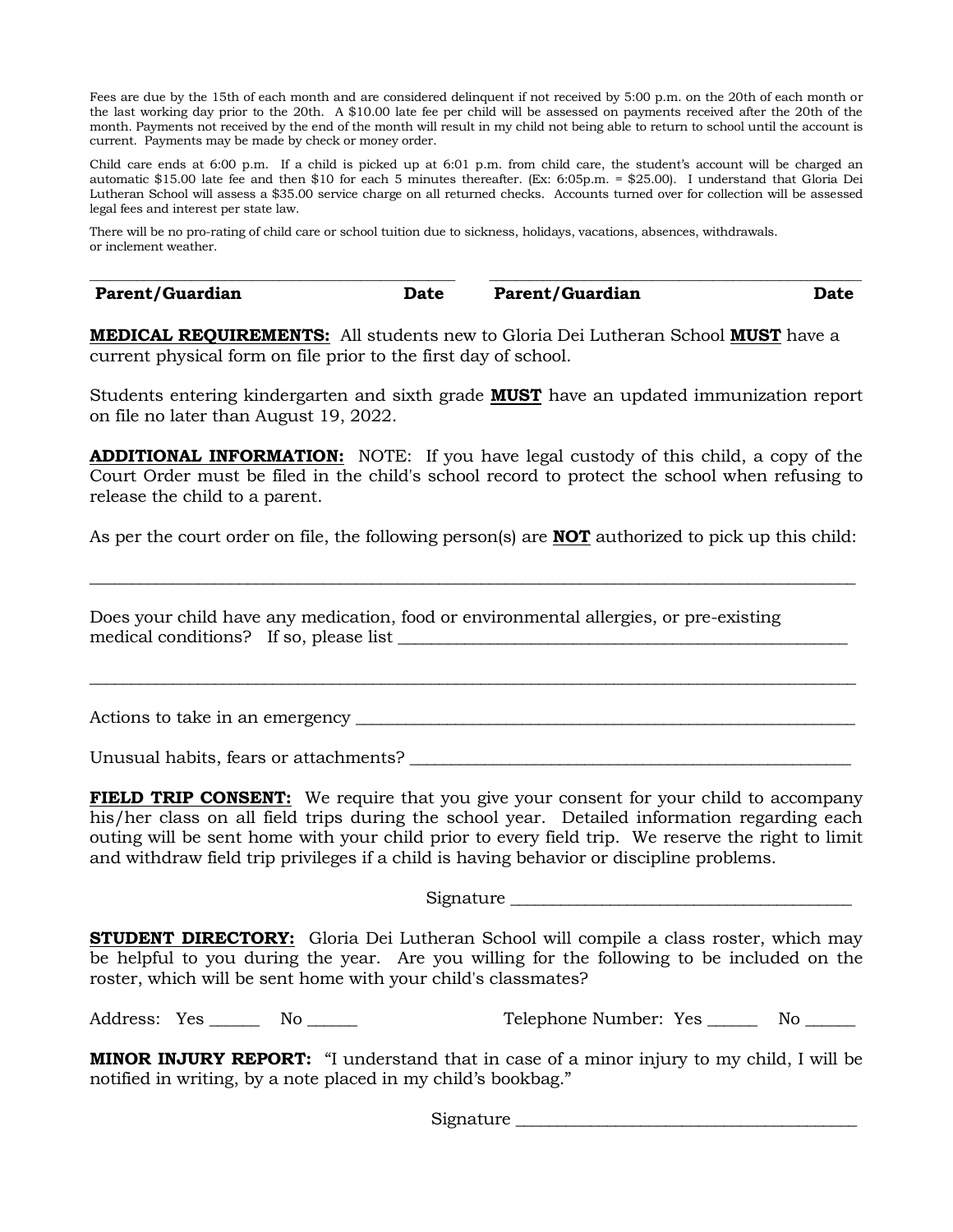Fees are due by the 15th of each month and are considered delinquent if not received by 5:00 p.m. on the 20th of each month or the last working day prior to the 20th. A \$10.00 late fee per child will be assessed on payments received after the 20th of the month. Payments not received by the end of the month will result in my child not being able to return to school until the account is current. Payments may be made by check or money order.

Child care ends at 6:00 p.m. If a child is picked up at 6:01 p.m. from child care, the student's account will be charged an automatic \$15.00 late fee and then \$10 for each 5 minutes thereafter. (Ex: 6:05p.m. = \$25.00). I understand that Gloria Dei Lutheran School will assess a \$35.00 service charge on all returned checks. Accounts turned over for collection will be assessed legal fees and interest per state law.

There will be no pro-rating of child care or school tuition due to sickness, holidays, vacations, absences, withdrawals. or inclement weather.

\_\_\_\_\_\_\_\_\_\_\_\_\_\_\_\_\_\_\_\_\_\_\_\_\_\_\_\_\_\_\_\_\_\_\_\_\_\_\_\_\_\_\_\_\_\_\_\_\_\_\_\_\_\_ \_\_\_\_\_\_\_\_\_\_\_\_\_\_\_\_\_\_\_\_\_\_\_\_\_\_\_\_\_\_\_\_\_\_\_\_\_\_\_\_\_\_\_\_\_\_\_\_\_\_\_\_\_\_\_ **Parent/Guardian Date Parent/Guardian Date**

**MEDICAL REQUIREMENTS:** All students new to Gloria Dei Lutheran School **MUST** have a current physical form on file prior to the first day of school.

Students entering kindergarten and sixth grade **MUST** have an updated immunization report on file no later than August 19, 2022.

**ADDITIONAL INFORMATION:** NOTE: If you have legal custody of this child, a copy of the Court Order must be filed in the child's school record to protect the school when refusing to release the child to a parent.

As per the court order on file, the following person(s) are **NOT** authorized to pick up this child:

\_\_\_\_\_\_\_\_\_\_\_\_\_\_\_\_\_\_\_\_\_\_\_\_\_\_\_\_\_\_\_\_\_\_\_\_\_\_\_\_\_\_\_\_\_\_\_\_\_\_\_\_\_\_\_\_\_\_\_\_\_\_\_\_\_\_\_\_\_\_\_\_\_\_\_\_\_\_\_\_\_\_\_\_\_\_\_\_\_\_\_\_

\_\_\_\_\_\_\_\_\_\_\_\_\_\_\_\_\_\_\_\_\_\_\_\_\_\_\_\_\_\_\_\_\_\_\_\_\_\_\_\_\_\_\_\_\_\_\_\_\_\_\_\_\_\_\_\_\_\_\_\_\_\_\_\_\_\_\_\_\_\_\_\_\_\_\_\_\_\_\_\_\_\_\_\_\_\_\_\_\_\_\_\_

Does your child have any medication, food or environmental allergies, or pre-existing medical conditions? If so, please list

Actions to take in an emergency \_\_\_\_\_\_\_\_\_\_\_\_\_\_\_\_\_\_\_\_\_\_\_\_\_\_\_\_\_\_\_\_\_\_\_\_\_\_\_\_\_\_\_\_\_\_\_\_\_\_\_\_\_\_\_\_\_\_\_\_

Unusual habits, fears or attachments?

**FIELD TRIP CONSENT:** We require that you give your consent for your child to accompany his/her class on all field trips during the school year. Detailed information regarding each outing will be sent home with your child prior to every field trip. We reserve the right to limit and withdraw field trip privileges if a child is having behavior or discipline problems.

Signature \_\_\_\_\_\_\_\_\_\_\_\_\_\_\_\_\_\_\_\_\_\_\_\_\_\_\_\_\_\_\_\_\_\_\_\_\_\_\_\_\_

**STUDENT DIRECTORY:** Gloria Dei Lutheran School will compile a class roster, which may be helpful to you during the year. Are you willing for the following to be included on the roster, which will be sent home with your child's classmates?

Address: Yes \_\_\_\_\_\_ No \_\_\_\_\_\_ Telephone Number: Yes \_\_\_\_\_ No \_\_\_\_\_

**MINOR INJURY REPORT:** "I understand that in case of a minor injury to my child, I will be notified in writing, by a note placed in my child's bookbag."

Signature \_\_\_\_\_\_\_\_\_\_\_\_\_\_\_\_\_\_\_\_\_\_\_\_\_\_\_\_\_\_\_\_\_\_\_\_\_\_\_\_\_